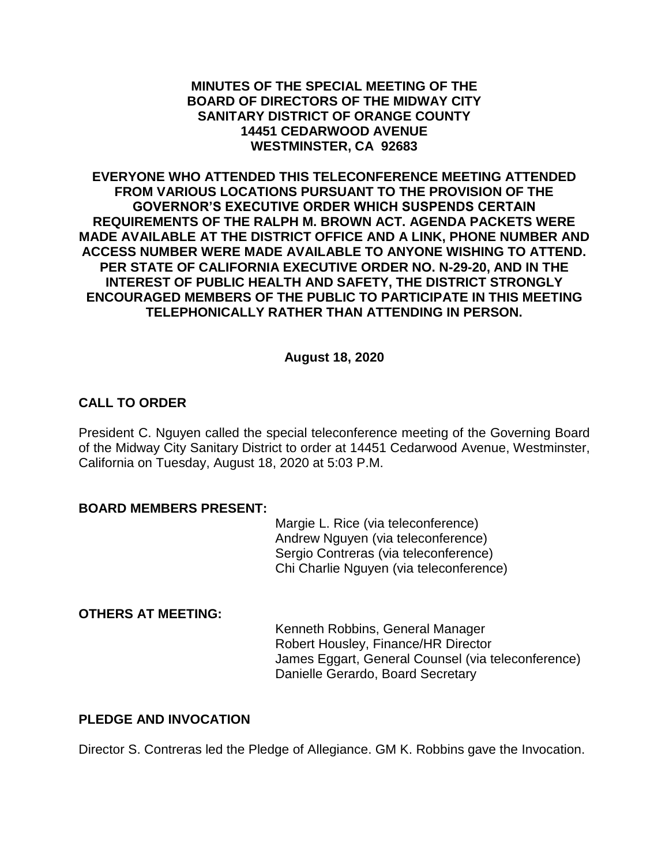#### **MINUTES OF THE SPECIAL MEETING OF THE BOARD OF DIRECTORS OF THE MIDWAY CITY SANITARY DISTRICT OF ORANGE COUNTY 14451 CEDARWOOD AVENUE WESTMINSTER, CA 92683**

**EVERYONE WHO ATTENDED THIS TELECONFERENCE MEETING ATTENDED FROM VARIOUS LOCATIONS PURSUANT TO THE PROVISION OF THE GOVERNOR'S EXECUTIVE ORDER WHICH SUSPENDS CERTAIN REQUIREMENTS OF THE RALPH M. BROWN ACT. AGENDA PACKETS WERE MADE AVAILABLE AT THE DISTRICT OFFICE AND A LINK, PHONE NUMBER AND ACCESS NUMBER WERE MADE AVAILABLE TO ANYONE WISHING TO ATTEND. PER STATE OF CALIFORNIA EXECUTIVE ORDER NO. N-29-20, AND IN THE INTEREST OF PUBLIC HEALTH AND SAFETY, THE DISTRICT STRONGLY ENCOURAGED MEMBERS OF THE PUBLIC TO PARTICIPATE IN THIS MEETING TELEPHONICALLY RATHER THAN ATTENDING IN PERSON.**

## **August 18, 2020**

## **CALL TO ORDER**

President C. Nguyen called the special teleconference meeting of the Governing Board of the Midway City Sanitary District to order at 14451 Cedarwood Avenue, Westminster, California on Tuesday, August 18, 2020 at 5:03 P.M.

#### **BOARD MEMBERS PRESENT:**

Margie L. Rice (via teleconference) Andrew Nguyen (via teleconference) Sergio Contreras (via teleconference) Chi Charlie Nguyen (via teleconference)

## **OTHERS AT MEETING:**

Kenneth Robbins, General Manager Robert Housley, Finance/HR Director James Eggart, General Counsel (via teleconference) Danielle Gerardo, Board Secretary

#### **PLEDGE AND INVOCATION**

Director S. Contreras led the Pledge of Allegiance. GM K. Robbins gave the Invocation.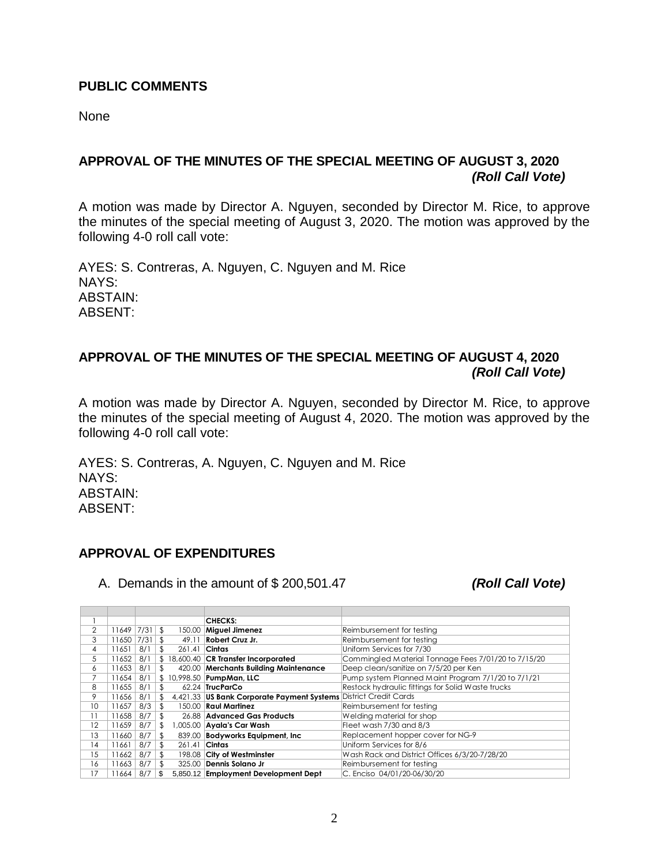#### **PUBLIC COMMENTS**

None

## **APPROVAL OF THE MINUTES OF THE SPECIAL MEETING OF AUGUST 3, 2020** *(Roll Call Vote)*

A motion was made by Director A. Nguyen, seconded by Director M. Rice, to approve the minutes of the special meeting of August 3, 2020. The motion was approved by the following 4-0 roll call vote:

AYES: S. Contreras, A. Nguyen, C. Nguyen and M. Rice NAYS: ABSTAIN: ABSENT:

## **APPROVAL OF THE MINUTES OF THE SPECIAL MEETING OF AUGUST 4, 2020** *(Roll Call Vote)*

A motion was made by Director A. Nguyen, seconded by Director M. Rice, to approve the minutes of the special meeting of August 4, 2020. The motion was approved by the following 4-0 roll call vote:

AYES: S. Contreras, A. Nguyen, C. Nguyen and M. Rice NAYS: ABSTAIN: ABSENT:

# **APPROVAL OF EXPENDITURES**

A. Demands in the amount of \$ 200,501.47 *(Roll Call Vote)*

|    |       |      |              | <b>CHECKS:</b>                                                   |                                                     |
|----|-------|------|--------------|------------------------------------------------------------------|-----------------------------------------------------|
| 2  | 11649 | 7/31 | \$           | 150.00 Miguel Jimenez                                            | Reimbursement for testing                           |
| 3  | 11650 | 7/31 | \$<br>49.11  | Robert Cruz Jr.                                                  | Reimbursement for testing                           |
| 4  | 11651 | 8/1  | \$<br>261.41 | Cintas                                                           | Uniform Services for 7/30                           |
| 5  | 11652 | 8/1  | \$           | 18,600.40 CR Transfer Incorporated                               | Commingled Material Tonnage Fees 7/01/20 to 7/15/20 |
| 6  | 11653 | 8/1  | \$           | 420.00 Merchants Building Maintenance                            | Deep clean/sanitize on 7/5/20 per Ken               |
| 7  | 11654 | 8/1  | \$           | 10,998.50 PumpMan, LLC                                           | Pump system Planned Maint Program 7/1/20 to 7/1/21  |
| 8  | 11655 | 8/1  | \$           | 62.24 TrucParCo                                                  | Restock hydraulic fittings for Solid Waste trucks   |
| 9  | 11656 | 8/1  | \$           | 4,421.33 US Bank Corporate Payment Systems District Credit Cards |                                                     |
| 10 | 11657 | 8/3  | \$           | 150.00 Raul Martinez                                             | Reimbursement for testing                           |
| 11 | 11658 | 8/7  | \$           | 26.88 Advanced Gas Products                                      | Welding material for shop                           |
| 12 | 11659 | 8/7  | \$           | ,005.00 Ayala's Car Wash                                         | Fleet wash 7/30 and 8/3                             |
| 13 | 11660 | 8/7  | \$           | 839.00 Bodyworks Equipment, Inc.                                 | Replacement hopper cover for NG-9                   |
| 14 | 11661 | 8/7  | \$<br>261.41 | Cintas                                                           | Uniform Services for 8/6                            |
| 15 | 11662 | 8/7  | \$           | 198.08 City of Westminster                                       | Wash Rack and District Offices 6/3/20-7/28/20       |
| 16 | 11663 | 8/7  | \$           | 325.00 Dennis Solano Jr                                          | Reimbursement for testing                           |
| 17 | 11664 | 8/7  | \$           | 5,850.12 Employment Development Dept                             | C. Enciso 04/01/20-06/30/20                         |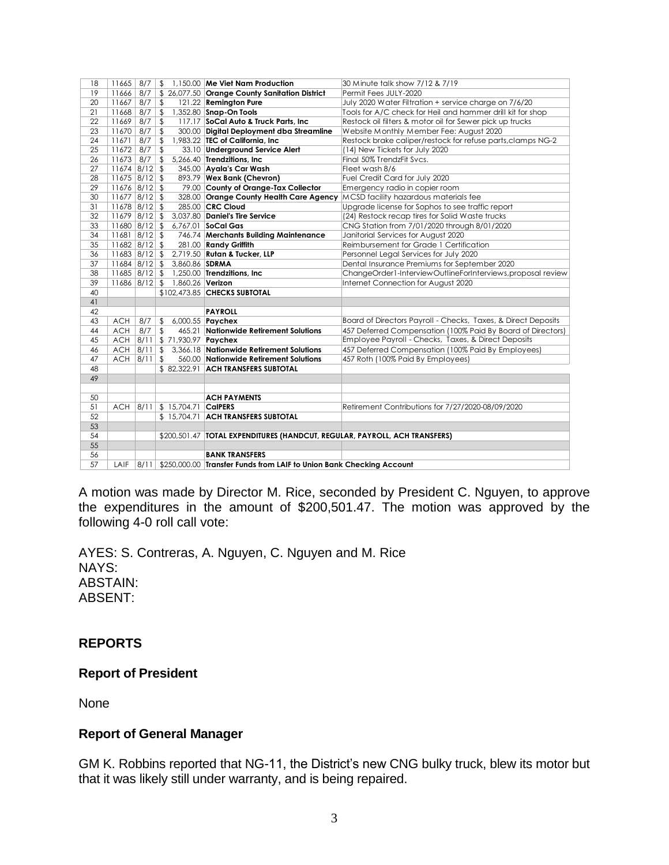| 18 | 11665             | 8/7 | $\sqrt{2}$     |                               | 1,150.00 Me Viet Nam Production                                               | 30 Minute talk show 7/12 & 7/19                               |
|----|-------------------|-----|----------------|-------------------------------|-------------------------------------------------------------------------------|---------------------------------------------------------------|
| 19 | 11666             | 8/7 |                |                               | \$ 26,077.50 Orange County Sanitation District                                | Permit Fees JULY-2020                                         |
| 20 | $11667$ 8/7       |     | $\sqrt[6]{2}$  |                               | 121.22 Remington Pure                                                         | July 2020 Water Filtration + service charge on 7/6/20         |
| 21 | $11668$ 8/7       |     | $\sqrt{2}$     |                               | 1,352.80 Snap-On Tools                                                        | Tools for A/C check for Heil and hammer drill kit for shop    |
| 22 | $11669$ 8/7       |     | $\frac{1}{2}$  |                               | 117.17 SoCal Auto & Truck Parts, Inc.                                         | Restock oil filters & motor oil for Sewer pick up trucks      |
| 23 | $11670$ 8/7       |     | \$             |                               | 300.00 Digital Deployment dba Streamline                                      | Website Monthly Member Fee: August 2020                       |
| 24 | 11671             | 8/7 | $\sqrt{2}$     |                               | 1.983.22 TEC of California. Inc.                                              | Restock brake caliper/restock for refuse parts, clamps NG-2   |
| 25 | $11672$ 8/7       |     | $\sqrt{2}$     |                               | 33.10 Underground Service Alert                                               | (14) New Tickets for July 2020                                |
| 26 | $11673$ 8/7       |     | $\sqrt[6]{2}$  |                               | 5,266.40 Trendzitions, Inc                                                    | Final 50% TrendzFit Svcs.                                     |
| 27 | $11674$ 8/12 \$   |     |                |                               | 345.00 Ayala's Car Wash                                                       | Fleet wash 8/6                                                |
| 28 | $11675$ 8/12 \$   |     |                |                               | 893.79 Wex Bank (Chevron)                                                     | Fuel Credit Card for July 2020                                |
| 29 | $11676$ 8/12 \$   |     |                |                               | 79.00 County of Orange-Tax Collector                                          | Emergency radio in copier room                                |
| 30 | $11677$ 8/12 \$   |     |                |                               | 328.00 Orange County Health Care Agency                                       | MCSD facility hazardous materials fee                         |
| 31 | $11678$ 8/12 \$   |     |                |                               | 285.00 CRC Cloud                                                              | Upgrade license for Sophos to see traffic report              |
| 32 | $11679$ 8/12 \$   |     |                |                               | 3,037.80 Daniel's Tire Service                                                | (24) Restock recap tires for Solid Waste trucks               |
| 33 | $11680$ $8/12$ \$ |     |                |                               | 6,767.01 SoCal Gas                                                            | CNG Station from 7/01/2020 through 8/01/2020                  |
| 34 | $11681$ $8/12$ \$ |     |                |                               | 746.74 Merchants Building Maintenance                                         | Janitorial Services for August 2020                           |
| 35 | $11682$ $8/12$ \$ |     |                |                               | 281.00 Randy Griffith                                                         | Reimbursement for Grade 1 Certification                       |
| 36 | $11683$ $8/12$ \$ |     |                |                               | 2,719.50 Rutan & Tucker, LLP                                                  | Personnel Legal Services for July 2020                        |
| 37 | $11684$ $8/12$ \$ |     |                | 3,860.86 SDRMA                |                                                                               | Dental Insurance Premiums for September 2020                  |
| 38 | $11685$ $8/12$ \$ |     |                |                               | 1,250.00 Trendzitions, Inc                                                    | ChangeOrder1-InterviewOutlineForInterviews, proposal review   |
| 39 | $11686$ $8/12$ \$ |     |                | 1,860.26 <b>Verizon</b>       |                                                                               | Internet Connection for August 2020                           |
| 40 |                   |     |                |                               | \$102,473.85 CHECKS SUBTOTAL                                                  |                                                               |
| 41 |                   |     |                |                               |                                                                               |                                                               |
| 42 |                   |     |                |                               | <b>PAYROLL</b>                                                                |                                                               |
| 43 | <b>ACH</b>        | 8/7 | \$             |                               | 6,000.55 <b>Paychex</b>                                                       | Board of Directors Payroll - Checks, Taxes, & Direct Deposits |
| 44 | <b>ACH</b>        | 8/7 | $\frac{1}{2}$  |                               | 465.21 Nationwide Retirement Solutions                                        | 457 Deferred Compensation (100% Paid By Board of Directors)   |
| 45 | $ACH$ $8/11$      |     |                | \$ 71,930.97 Paychex          |                                                                               | Employee Payroll - Checks, Taxes, & Direct Deposits           |
| 46 | $ACH$ $8/11$      |     | $\sqrt[6]{2}$  |                               | 3.366.18 Nationwide Retirement Solutions                                      | 457 Deferred Compensation (100% Paid By Employees)            |
| 47 | $ACH$ $ 8/11 $    |     | $\mathfrak{L}$ |                               | 560.00 Nationwide Retirement Solutions                                        | 457 Roth (100% Paid By Employees)                             |
| 48 |                   |     |                |                               | \$82,322.91 ACH TRANSFERS SUBTOTAL                                            |                                                               |
| 49 |                   |     |                |                               |                                                                               |                                                               |
|    |                   |     |                |                               |                                                                               |                                                               |
| 50 |                   |     |                |                               | <b>ACH PAYMENTS</b>                                                           |                                                               |
| 51 |                   |     |                | ACH 8/11 \$ 15,704.71 CalPERS |                                                                               | Retirement Contributions for 7/27/2020-08/09/2020             |
| 52 |                   |     |                |                               | \$15,704.71 ACH TRANSFERS SUBTOTAL                                            |                                                               |
| 53 |                   |     |                |                               |                                                                               |                                                               |
| 54 |                   |     |                |                               | \$200,501.47   TOTAL EXPENDITURES (HANDCUT, REGULAR, PAYROLL, ACH TRANSFERS)  |                                                               |
| 55 |                   |     |                |                               |                                                                               |                                                               |
| 56 |                   |     |                |                               | <b>BANK TRANSFERS</b>                                                         |                                                               |
| 57 | LAIF              |     |                |                               | 8/11   \$250,000.00   Transfer Funds from LAIF to Union Bank Checking Account |                                                               |

A motion was made by Director M. Rice, seconded by President C. Nguyen, to approve the expenditures in the amount of \$200,501.47. The motion was approved by the following 4-0 roll call vote:

AYES: S. Contreras, A. Nguyen, C. Nguyen and M. Rice NAYS: ABSTAIN: ABSENT:

## **REPORTS**

## **Report of President**

None

#### **Report of General Manager**

GM K. Robbins reported that NG-11, the District's new CNG bulky truck, blew its motor but that it was likely still under warranty, and is being repaired.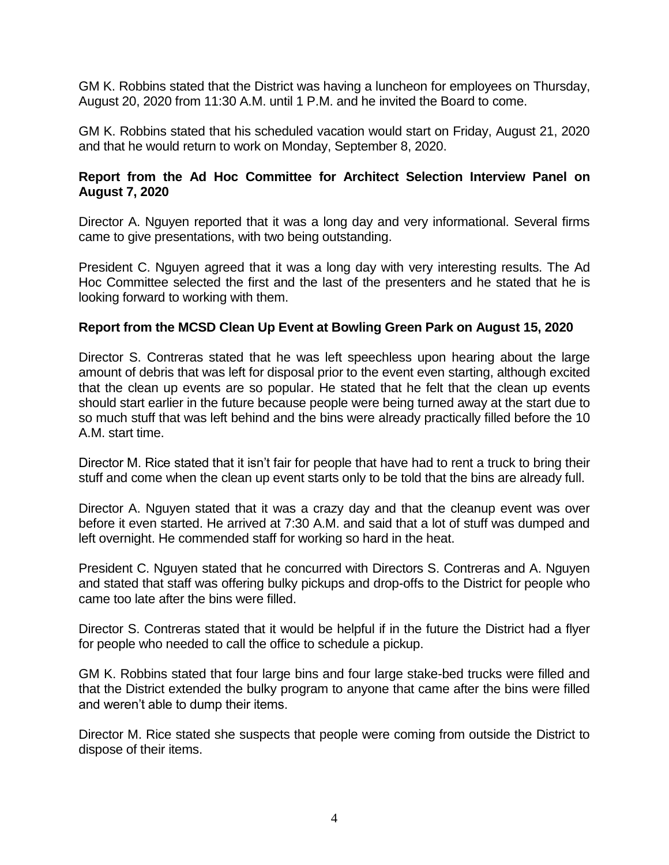GM K. Robbins stated that the District was having a luncheon for employees on Thursday, August 20, 2020 from 11:30 A.M. until 1 P.M. and he invited the Board to come.

GM K. Robbins stated that his scheduled vacation would start on Friday, August 21, 2020 and that he would return to work on Monday, September 8, 2020.

## **Report from the Ad Hoc Committee for Architect Selection Interview Panel on August 7, 2020**

Director A. Nguyen reported that it was a long day and very informational. Several firms came to give presentations, with two being outstanding.

President C. Nguyen agreed that it was a long day with very interesting results. The Ad Hoc Committee selected the first and the last of the presenters and he stated that he is looking forward to working with them.

## **Report from the MCSD Clean Up Event at Bowling Green Park on August 15, 2020**

Director S. Contreras stated that he was left speechless upon hearing about the large amount of debris that was left for disposal prior to the event even starting, although excited that the clean up events are so popular. He stated that he felt that the clean up events should start earlier in the future because people were being turned away at the start due to so much stuff that was left behind and the bins were already practically filled before the 10 A.M. start time.

Director M. Rice stated that it isn't fair for people that have had to rent a truck to bring their stuff and come when the clean up event starts only to be told that the bins are already full.

Director A. Nguyen stated that it was a crazy day and that the cleanup event was over before it even started. He arrived at 7:30 A.M. and said that a lot of stuff was dumped and left overnight. He commended staff for working so hard in the heat.

President C. Nguyen stated that he concurred with Directors S. Contreras and A. Nguyen and stated that staff was offering bulky pickups and drop-offs to the District for people who came too late after the bins were filled.

Director S. Contreras stated that it would be helpful if in the future the District had a flyer for people who needed to call the office to schedule a pickup.

GM K. Robbins stated that four large bins and four large stake-bed trucks were filled and that the District extended the bulky program to anyone that came after the bins were filled and weren't able to dump their items.

Director M. Rice stated she suspects that people were coming from outside the District to dispose of their items.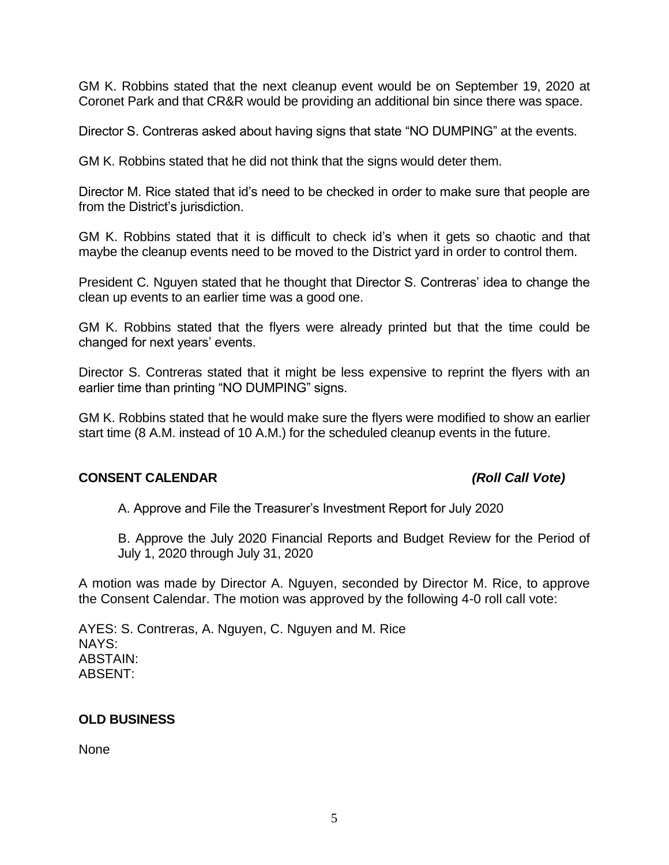GM K. Robbins stated that the next cleanup event would be on September 19, 2020 at Coronet Park and that CR&R would be providing an additional bin since there was space.

Director S. Contreras asked about having signs that state "NO DUMPING" at the events.

GM K. Robbins stated that he did not think that the signs would deter them.

Director M. Rice stated that id's need to be checked in order to make sure that people are from the District's jurisdiction.

GM K. Robbins stated that it is difficult to check id's when it gets so chaotic and that maybe the cleanup events need to be moved to the District yard in order to control them.

President C. Nguyen stated that he thought that Director S. Contreras' idea to change the clean up events to an earlier time was a good one.

GM K. Robbins stated that the flyers were already printed but that the time could be changed for next years' events.

Director S. Contreras stated that it might be less expensive to reprint the flyers with an earlier time than printing "NO DUMPING" signs.

GM K. Robbins stated that he would make sure the flyers were modified to show an earlier start time (8 A.M. instead of 10 A.M.) for the scheduled cleanup events in the future.

#### **CONSENT CALENDAR** *(Roll Call Vote)*

A. Approve and File the Treasurer's Investment Report for July 2020

B. Approve the July 2020 Financial Reports and Budget Review for the Period of July 1, 2020 through July 31, 2020

A motion was made by Director A. Nguyen, seconded by Director M. Rice, to approve the Consent Calendar. The motion was approved by the following 4-0 roll call vote:

AYES: S. Contreras, A. Nguyen, C. Nguyen and M. Rice NAYS: ABSTAIN: ABSENT:

## **OLD BUSINESS**

None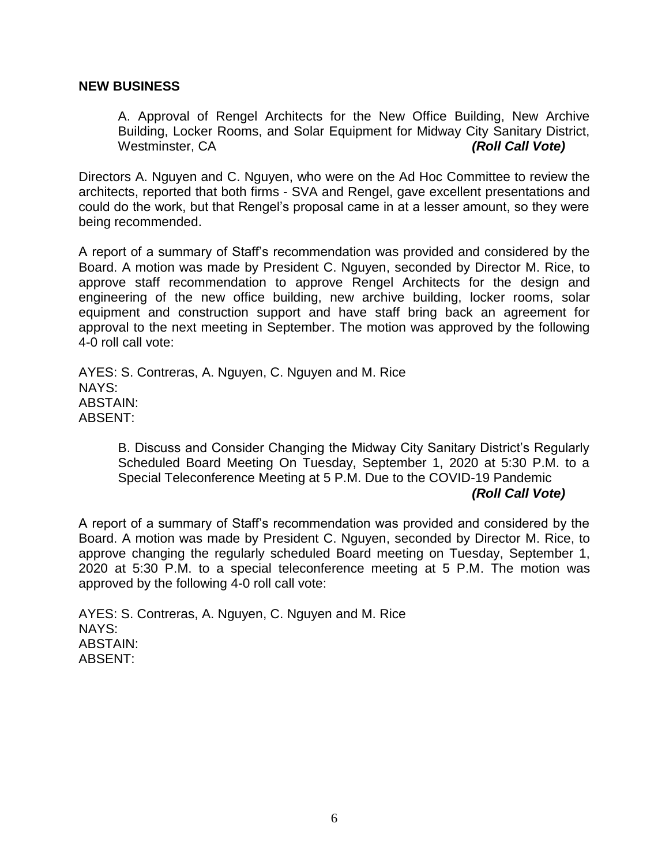#### **NEW BUSINESS**

A. Approval of Rengel Architects for the New Office Building, New Archive Building, Locker Rooms, and Solar Equipment for Midway City Sanitary District, Westminster, CA *(Roll Call Vote)*

Directors A. Nguyen and C. Nguyen, who were on the Ad Hoc Committee to review the architects, reported that both firms - SVA and Rengel, gave excellent presentations and could do the work, but that Rengel's proposal came in at a lesser amount, so they were being recommended.

A report of a summary of Staff's recommendation was provided and considered by the Board. A motion was made by President C. Nguyen, seconded by Director M. Rice, to approve staff recommendation to approve Rengel Architects for the design and engineering of the new office building, new archive building, locker rooms, solar equipment and construction support and have staff bring back an agreement for approval to the next meeting in September. The motion was approved by the following 4-0 roll call vote:

AYES: S. Contreras, A. Nguyen, C. Nguyen and M. Rice NAYS: ABSTAIN: ABSENT:

> B. Discuss and Consider Changing the Midway City Sanitary District's Regularly Scheduled Board Meeting On Tuesday, September 1, 2020 at 5:30 P.M. to a Special Teleconference Meeting at 5 P.M. Due to the COVID-19 Pandemic

#### *(Roll Call Vote)*

A report of a summary of Staff's recommendation was provided and considered by the Board. A motion was made by President C. Nguyen, seconded by Director M. Rice, to approve changing the regularly scheduled Board meeting on Tuesday, September 1, 2020 at 5:30 P.M. to a special teleconference meeting at 5 P.M. The motion was approved by the following 4-0 roll call vote:

AYES: S. Contreras, A. Nguyen, C. Nguyen and M. Rice NAYS: ABSTAIN: ABSENT: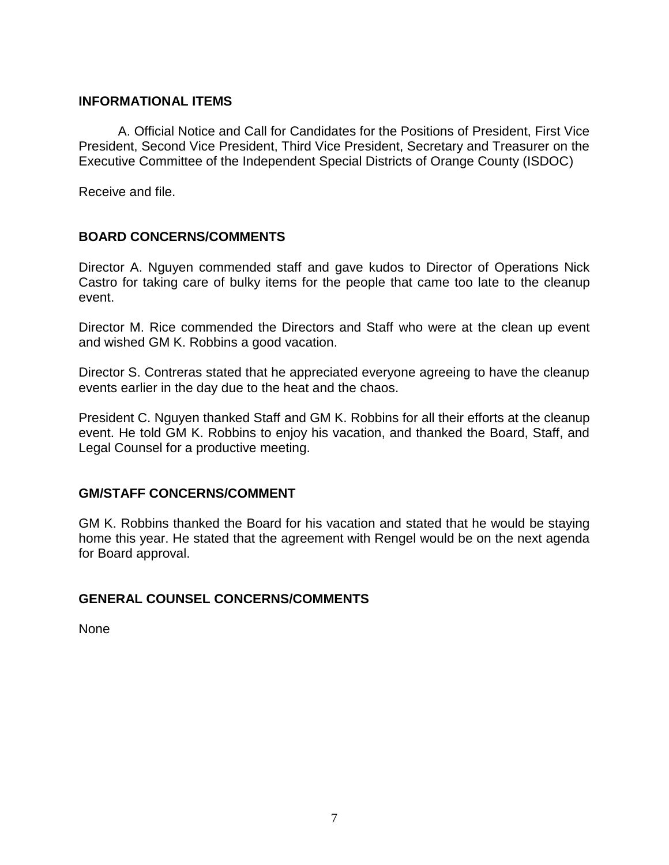## **INFORMATIONAL ITEMS**

A. Official Notice and Call for Candidates for the Positions of President, First Vice President, Second Vice President, Third Vice President, Secretary and Treasurer on the Executive Committee of the Independent Special Districts of Orange County (ISDOC)

Receive and file.

## **BOARD CONCERNS/COMMENTS**

Director A. Nguyen commended staff and gave kudos to Director of Operations Nick Castro for taking care of bulky items for the people that came too late to the cleanup event.

Director M. Rice commended the Directors and Staff who were at the clean up event and wished GM K. Robbins a good vacation.

Director S. Contreras stated that he appreciated everyone agreeing to have the cleanup events earlier in the day due to the heat and the chaos.

President C. Nguyen thanked Staff and GM K. Robbins for all their efforts at the cleanup event. He told GM K. Robbins to enjoy his vacation, and thanked the Board, Staff, and Legal Counsel for a productive meeting.

## **GM/STAFF CONCERNS/COMMENT**

GM K. Robbins thanked the Board for his vacation and stated that he would be staying home this year. He stated that the agreement with Rengel would be on the next agenda for Board approval.

## **GENERAL COUNSEL CONCERNS/COMMENTS**

None